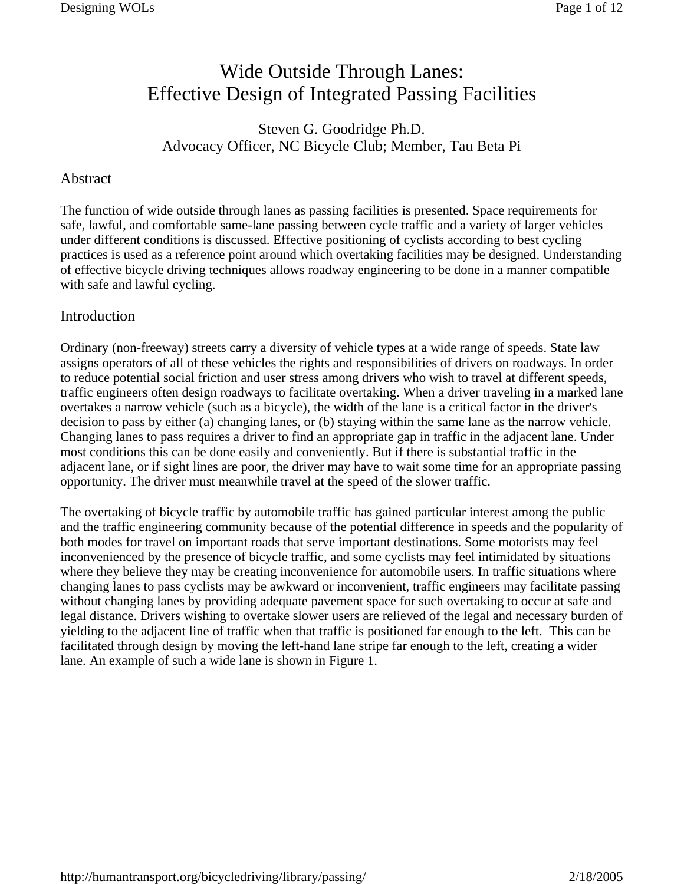# Wide Outside Through Lanes: Effective Design of Integrated Passing Facilities

# Steven G. Goodridge Ph.D. Advocacy Officer, NC Bicycle Club; Member, Tau Beta Pi

#### Abstract

The function of wide outside through lanes as passing facilities is presented. Space requirements for safe, lawful, and comfortable same-lane passing between cycle traffic and a variety of larger vehicles under different conditions is discussed. Effective positioning of cyclists according to best cycling practices is used as a reference point around which overtaking facilities may be designed. Understanding of effective bicycle driving techniques allows roadway engineering to be done in a manner compatible with safe and lawful cycling.

#### Introduction

Ordinary (non-freeway) streets carry a diversity of vehicle types at a wide range of speeds. State law assigns operators of all of these vehicles the rights and responsibilities of drivers on roadways. In order to reduce potential social friction and user stress among drivers who wish to travel at different speeds, traffic engineers often design roadways to facilitate overtaking. When a driver traveling in a marked lane overtakes a narrow vehicle (such as a bicycle), the width of the lane is a critical factor in the driver's decision to pass by either (a) changing lanes, or (b) staying within the same lane as the narrow vehicle. Changing lanes to pass requires a driver to find an appropriate gap in traffic in the adjacent lane. Under most conditions this can be done easily and conveniently. But if there is substantial traffic in the adjacent lane, or if sight lines are poor, the driver may have to wait some time for an appropriate passing opportunity. The driver must meanwhile travel at the speed of the slower traffic.

The overtaking of bicycle traffic by automobile traffic has gained particular interest among the public and the traffic engineering community because of the potential difference in speeds and the popularity of both modes for travel on important roads that serve important destinations. Some motorists may feel inconvenienced by the presence of bicycle traffic, and some cyclists may feel intimidated by situations where they believe they may be creating inconvenience for automobile users. In traffic situations where changing lanes to pass cyclists may be awkward or inconvenient, traffic engineers may facilitate passing without changing lanes by providing adequate pavement space for such overtaking to occur at safe and legal distance. Drivers wishing to overtake slower users are relieved of the legal and necessary burden of yielding to the adjacent line of traffic when that traffic is positioned far enough to the left. This can be facilitated through design by moving the left-hand lane stripe far enough to the left, creating a wider lane. An example of such a wide lane is shown in Figure 1.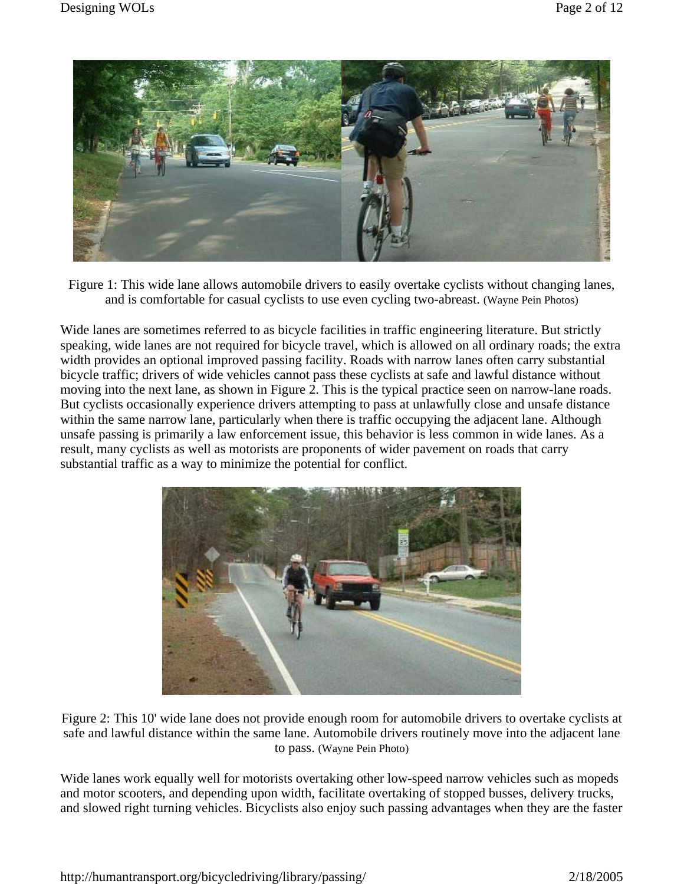

Figure 1: This wide lane allows automobile drivers to easily overtake cyclists without changing lanes, and is comfortable for casual cyclists to use even cycling two-abreast. (Wayne Pein Photos)

Wide lanes are sometimes referred to as bicycle facilities in traffic engineering literature. But strictly speaking, wide lanes are not required for bicycle travel, which is allowed on all ordinary roads; the extra width provides an optional improved passing facility. Roads with narrow lanes often carry substantial bicycle traffic; drivers of wide vehicles cannot pass these cyclists at safe and lawful distance without moving into the next lane, as shown in Figure 2. This is the typical practice seen on narrow-lane roads. But cyclists occasionally experience drivers attempting to pass at unlawfully close and unsafe distance within the same narrow lane, particularly when there is traffic occupying the adjacent lane. Although unsafe passing is primarily a law enforcement issue, this behavior is less common in wide lanes. As a result, many cyclists as well as motorists are proponents of wider pavement on roads that carry substantial traffic as a way to minimize the potential for conflict.



Figure 2: This 10' wide lane does not provide enough room for automobile drivers to overtake cyclists at safe and lawful distance within the same lane. Automobile drivers routinely move into the adjacent lane to pass. (Wayne Pein Photo)

Wide lanes work equally well for motorists overtaking other low-speed narrow vehicles such as mopeds and motor scooters, and depending upon width, facilitate overtaking of stopped busses, delivery trucks, and slowed right turning vehicles. Bicyclists also enjoy such passing advantages when they are the faster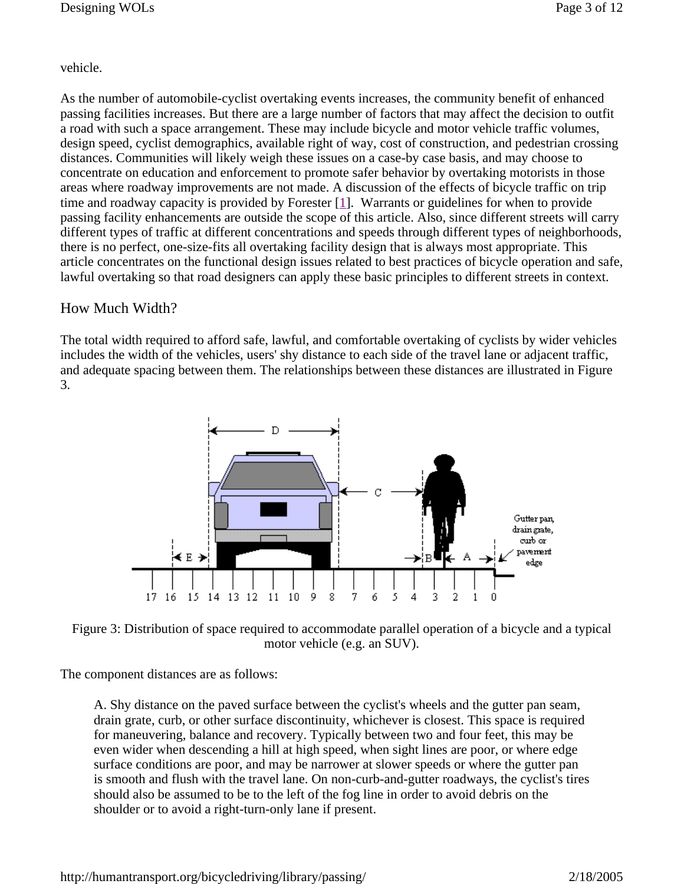# vehicle.

As the number of automobile-cyclist overtaking events increases, the community benefit of enhanced passing facilities increases. But there are a large number of factors that may affect the decision to outfit a road with such a space arrangement. These may include bicycle and motor vehicle traffic volumes, design speed, cyclist demographics, available right of way, cost of construction, and pedestrian crossing distances. Communities will likely weigh these issues on a case-by case basis, and may choose to concentrate on education and enforcement to promote safer behavior by overtaking motorists in those areas where roadway improvements are not made. A discussion of the effects of bicycle traffic on trip time and roadway capacity is provided by Forester  $[1]$ . Warrants or guidelines for when to provide passing facility enhancements are outside the scope of this article. Also, since different streets will carry different types of traffic at different concentrations and speeds through different types of neighborhoods, there is no perfect, one-size-fits all overtaking facility design that is always most appropriate. This article concentrates on the functional design issues related to best practices of bicycle operation and safe, lawful overtaking so that road designers can apply these basic principles to different streets in context.

### How Much Width?

The total width required to afford safe, lawful, and comfortable overtaking of cyclists by wider vehicles includes the width of the vehicles, users' shy distance to each side of the travel lane or adjacent traffic, and adequate spacing between them. The relationships between these distances are illustrated in Figure 3.



Figure 3: Distribution of space required to accommodate parallel operation of a bicycle and a typical motor vehicle (e.g. an SUV).

The component distances are as follows:

A. Shy distance on the paved surface between the cyclist's wheels and the gutter pan seam, drain grate, curb, or other surface discontinuity, whichever is closest. This space is required for maneuvering, balance and recovery. Typically between two and four feet, this may be even wider when descending a hill at high speed, when sight lines are poor, or where edge surface conditions are poor, and may be narrower at slower speeds or where the gutter pan is smooth and flush with the travel lane. On non-curb-and-gutter roadways, the cyclist's tires should also be assumed to be to the left of the fog line in order to avoid debris on the shoulder or to avoid a right-turn-only lane if present.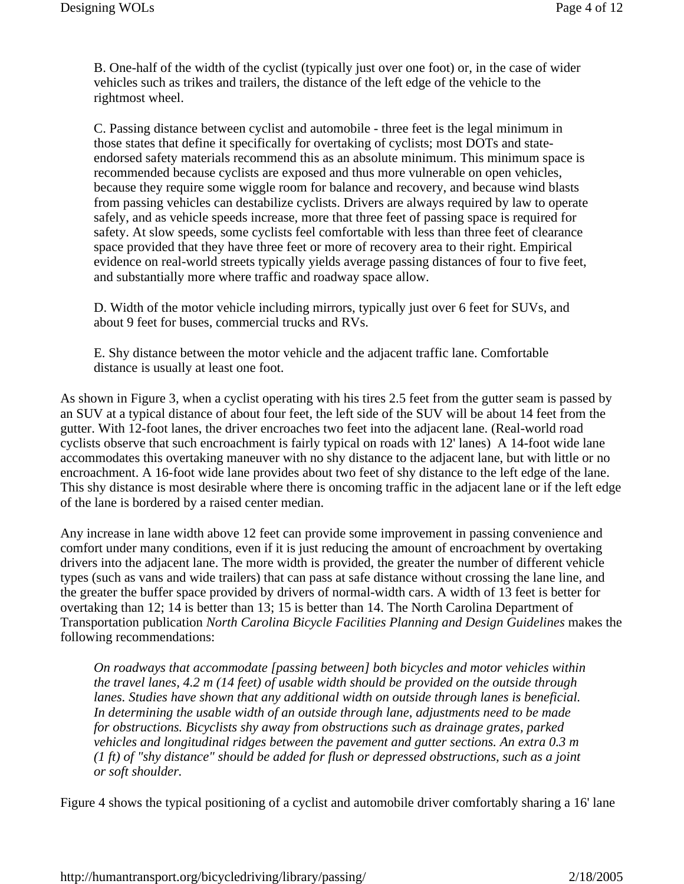B. One-half of the width of the cyclist (typically just over one foot) or, in the case of wider vehicles such as trikes and trailers, the distance of the left edge of the vehicle to the rightmost wheel.

C. Passing distance between cyclist and automobile - three feet is the legal minimum in those states that define it specifically for overtaking of cyclists; most DOTs and stateendorsed safety materials recommend this as an absolute minimum. This minimum space is recommended because cyclists are exposed and thus more vulnerable on open vehicles, because they require some wiggle room for balance and recovery, and because wind blasts from passing vehicles can destabilize cyclists. Drivers are always required by law to operate safely, and as vehicle speeds increase, more that three feet of passing space is required for safety. At slow speeds, some cyclists feel comfortable with less than three feet of clearance space provided that they have three feet or more of recovery area to their right. Empirical evidence on real-world streets typically yields average passing distances of four to five feet, and substantially more where traffic and roadway space allow.

D. Width of the motor vehicle including mirrors, typically just over 6 feet for SUVs, and about 9 feet for buses, commercial trucks and RVs.

E. Shy distance between the motor vehicle and the adjacent traffic lane. Comfortable distance is usually at least one foot.

As shown in Figure 3, when a cyclist operating with his tires 2.5 feet from the gutter seam is passed by an SUV at a typical distance of about four feet, the left side of the SUV will be about 14 feet from the gutter. With 12-foot lanes, the driver encroaches two feet into the adjacent lane. (Real-world road cyclists observe that such encroachment is fairly typical on roads with 12' lanes) A 14-foot wide lane accommodates this overtaking maneuver with no shy distance to the adjacent lane, but with little or no encroachment. A 16-foot wide lane provides about two feet of shy distance to the left edge of the lane. This shy distance is most desirable where there is oncoming traffic in the adjacent lane or if the left edge of the lane is bordered by a raised center median.

Any increase in lane width above 12 feet can provide some improvement in passing convenience and comfort under many conditions, even if it is just reducing the amount of encroachment by overtaking drivers into the adjacent lane. The more width is provided, the greater the number of different vehicle types (such as vans and wide trailers) that can pass at safe distance without crossing the lane line, and the greater the buffer space provided by drivers of normal-width cars. A width of 13 feet is better for overtaking than 12; 14 is better than 13; 15 is better than 14. The North Carolina Department of Transportation publication *North Carolina Bicycle Facilities Planning and Design Guidelines* makes the following recommendations:

*On roadways that accommodate [passing between] both bicycles and motor vehicles within the travel lanes, 4.2 m (14 feet) of usable width should be provided on the outside through lanes. Studies have shown that any additional width on outside through lanes is beneficial. In determining the usable width of an outside through lane, adjustments need to be made for obstructions. Bicyclists shy away from obstructions such as drainage grates, parked vehicles and longitudinal ridges between the pavement and gutter sections. An extra 0.3 m (1 ft) of "shy distance" should be added for flush or depressed obstructions, such as a joint or soft shoulder.* 

Figure 4 shows the typical positioning of a cyclist and automobile driver comfortably sharing a 16' lane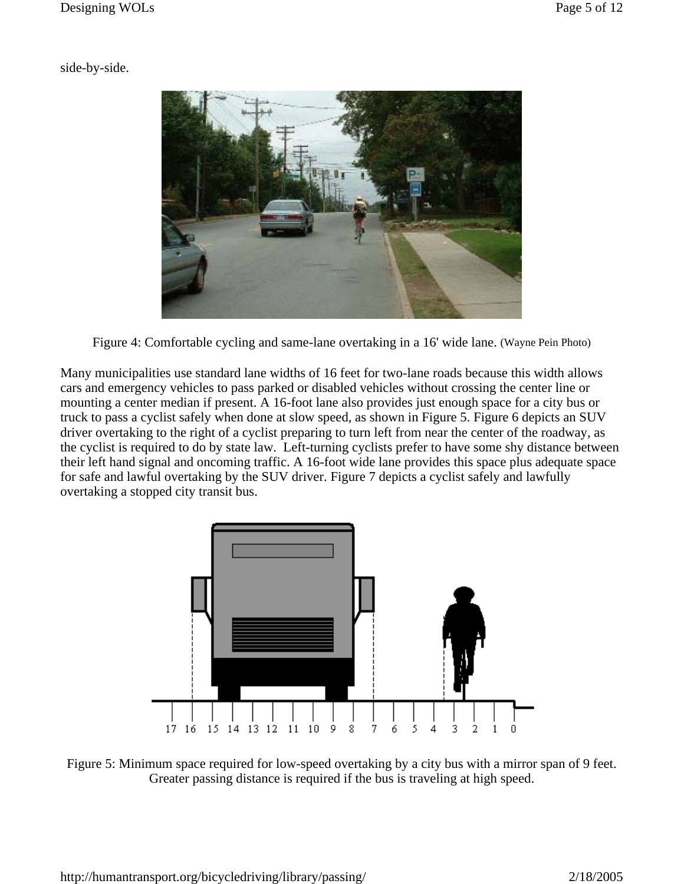side-by-side.



Figure 4: Comfortable cycling and same-lane overtaking in a 16' wide lane. (Wayne Pein Photo)

Many municipalities use standard lane widths of 16 feet for two-lane roads because this width allows cars and emergency vehicles to pass parked or disabled vehicles without crossing the center line or mounting a center median if present. A 16-foot lane also provides just enough space for a city bus or truck to pass a cyclist safely when done at slow speed, as shown in Figure 5. Figure 6 depicts an SUV driver overtaking to the right of a cyclist preparing to turn left from near the center of the roadway, as the cyclist is required to do by state law. Left-turning cyclists prefer to have some shy distance between their left hand signal and oncoming traffic. A 16-foot wide lane provides this space plus adequate space for safe and lawful overtaking by the SUV driver. Figure 7 depicts a cyclist safely and lawfully overtaking a stopped city transit bus.



Figure 5: Minimum space required for low-speed overtaking by a city bus with a mirror span of 9 feet. Greater passing distance is required if the bus is traveling at high speed.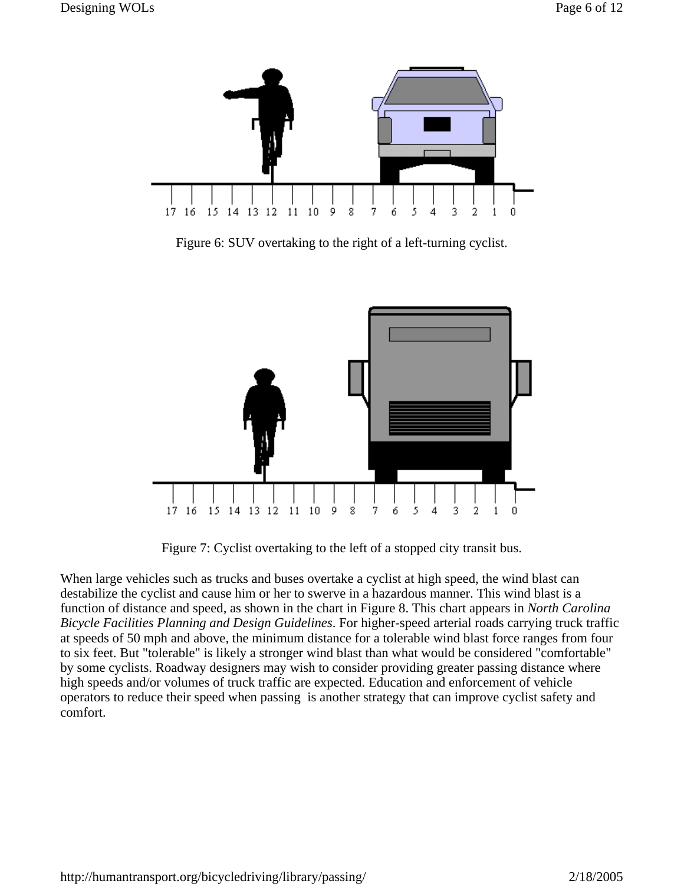

Figure 6: SUV overtaking to the right of a left-turning cyclist.



Figure 7: Cyclist overtaking to the left of a stopped city transit bus.

When large vehicles such as trucks and buses overtake a cyclist at high speed, the wind blast can destabilize the cyclist and cause him or her to swerve in a hazardous manner. This wind blast is a function of distance and speed, as shown in the chart in Figure 8. This chart appears in *North Carolina Bicycle Facilities Planning and Design Guidelines*. For higher-speed arterial roads carrying truck traffic at speeds of 50 mph and above, the minimum distance for a tolerable wind blast force ranges from four to six feet. But "tolerable" is likely a stronger wind blast than what would be considered "comfortable" by some cyclists. Roadway designers may wish to consider providing greater passing distance where high speeds and/or volumes of truck traffic are expected. Education and enforcement of vehicle operators to reduce their speed when passing is another strategy that can improve cyclist safety and comfort.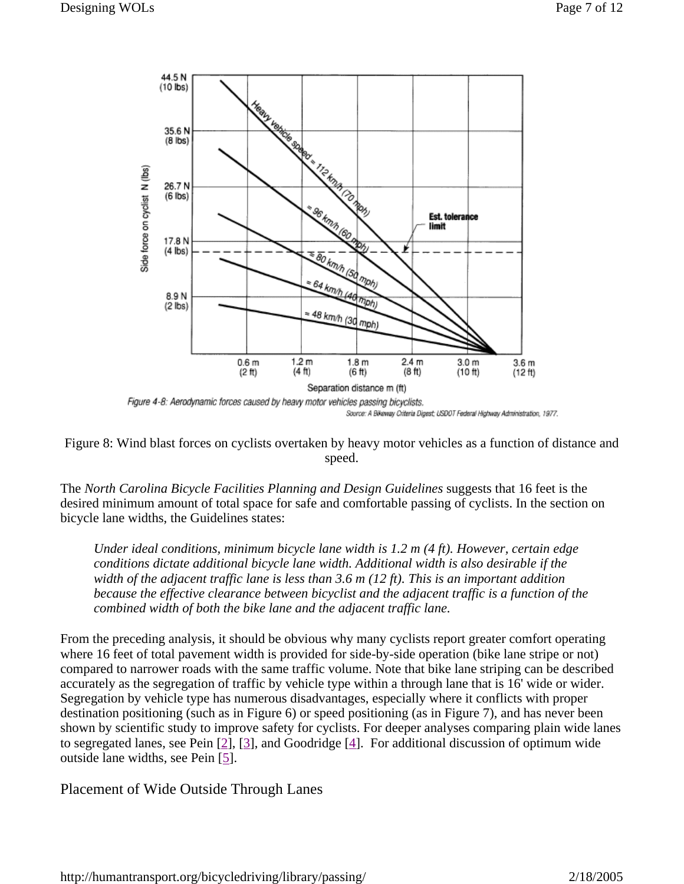

Figure 8: Wind blast forces on cyclists overtaken by heavy motor vehicles as a function of distance and speed.

The *North Carolina Bicycle Facilities Planning and Design Guidelines* suggests that 16 feet is the desired minimum amount of total space for safe and comfortable passing of cyclists. In the section on bicycle lane widths, the Guidelines states:

*Under ideal conditions, minimum bicycle lane width is 1.2 m (4 ft). However, certain edge conditions dictate additional bicycle lane width. Additional width is also desirable if the width of the adjacent traffic lane is less than 3.6 m (12 ft). This is an important addition because the effective clearance between bicyclist and the adjacent traffic is a function of the combined width of both the bike lane and the adjacent traffic lane.*

From the preceding analysis, it should be obvious why many cyclists report greater comfort operating where 16 feet of total pavement width is provided for side-by-side operation (bike lane stripe or not) compared to narrower roads with the same traffic volume. Note that bike lane striping can be described accurately as the segregation of traffic by vehicle type within a through lane that is 16' wide or wider. Segregation by vehicle type has numerous disadvantages, especially where it conflicts with proper destination positioning (such as in Figure 6) or speed positioning (as in Figure 7), and has never been shown by scientific study to improve safety for cyclists. For deeper analyses comparing plain wide lanes to segregated lanes, see Pein [2], [3], and Goodridge [4]. For additional discussion of optimum wide outside lane widths, see Pein [5].

Placement of Wide Outside Through Lanes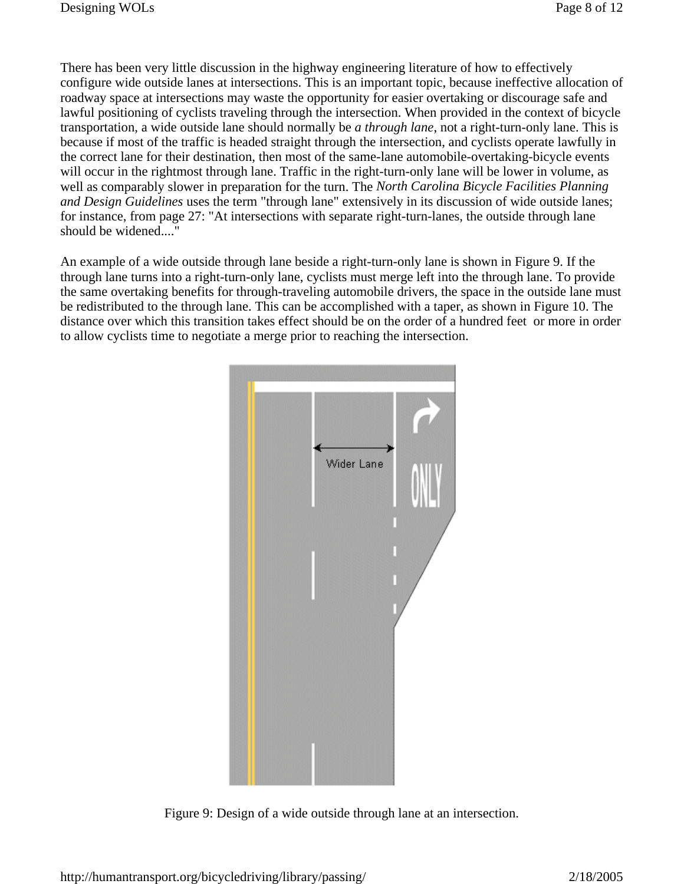There has been very little discussion in the highway engineering literature of how to effectively configure wide outside lanes at intersections. This is an important topic, because ineffective allocation of roadway space at intersections may waste the opportunity for easier overtaking or discourage safe and lawful positioning of cyclists traveling through the intersection. When provided in the context of bicycle transportation, a wide outside lane should normally be *a through lane*, not a right-turn-only lane. This is because if most of the traffic is headed straight through the intersection, and cyclists operate lawfully in the correct lane for their destination, then most of the same-lane automobile-overtaking-bicycle events will occur in the rightmost through lane. Traffic in the right-turn-only lane will be lower in volume, as well as comparably slower in preparation for the turn. The *North Carolina Bicycle Facilities Planning and Design Guidelines* uses the term "through lane" extensively in its discussion of wide outside lanes; for instance, from page 27: "At intersections with separate right-turn-lanes, the outside through lane should be widened...."

An example of a wide outside through lane beside a right-turn-only lane is shown in Figure 9. If the through lane turns into a right-turn-only lane, cyclists must merge left into the through lane. To provide the same overtaking benefits for through-traveling automobile drivers, the space in the outside lane must be redistributed to the through lane. This can be accomplished with a taper, as shown in Figure 10. The distance over which this transition takes effect should be on the order of a hundred feet or more in order to allow cyclists time to negotiate a merge prior to reaching the intersection.



Figure 9: Design of a wide outside through lane at an intersection.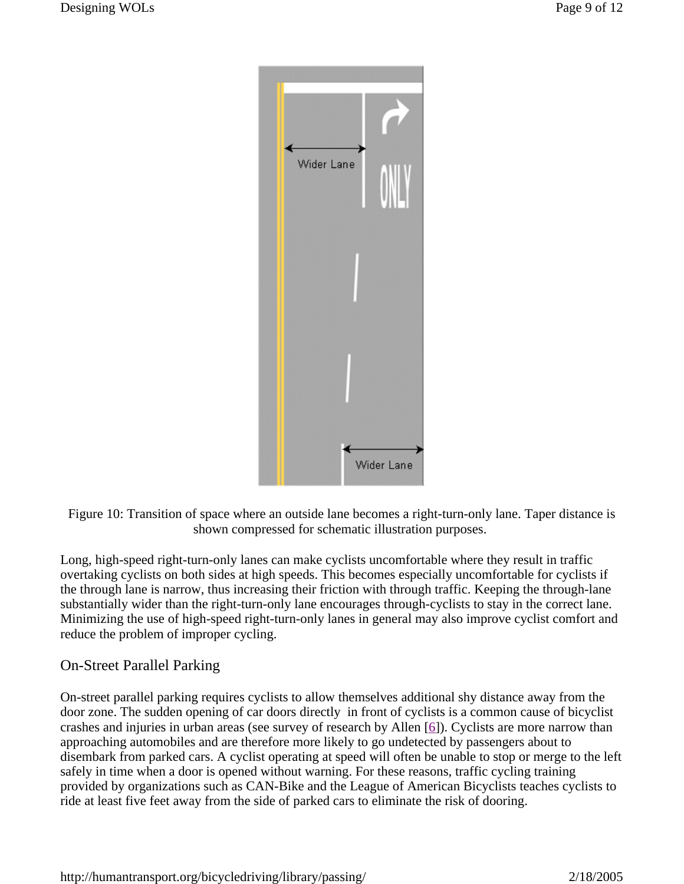

Figure 10: Transition of space where an outside lane becomes a right-turn-only lane. Taper distance is shown compressed for schematic illustration purposes.

Long, high-speed right-turn-only lanes can make cyclists uncomfortable where they result in traffic overtaking cyclists on both sides at high speeds. This becomes especially uncomfortable for cyclists if the through lane is narrow, thus increasing their friction with through traffic. Keeping the through-lane substantially wider than the right-turn-only lane encourages through-cyclists to stay in the correct lane. Minimizing the use of high-speed right-turn-only lanes in general may also improve cyclist comfort and reduce the problem of improper cycling.

# On-Street Parallel Parking

On-street parallel parking requires cyclists to allow themselves additional shy distance away from the door zone. The sudden opening of car doors directly in front of cyclists is a common cause of bicyclist crashes and injuries in urban areas (see survey of research by Allen [6]). Cyclists are more narrow than approaching automobiles and are therefore more likely to go undetected by passengers about to disembark from parked cars. A cyclist operating at speed will often be unable to stop or merge to the left safely in time when a door is opened without warning. For these reasons, traffic cycling training provided by organizations such as CAN-Bike and the League of American Bicyclists teaches cyclists to ride at least five feet away from the side of parked cars to eliminate the risk of dooring.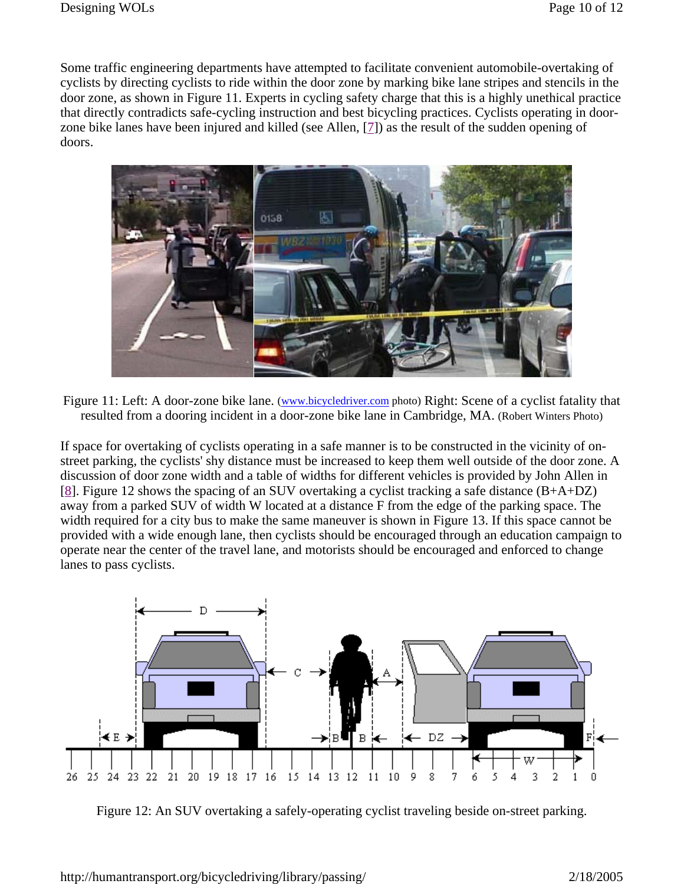Some traffic engineering departments have attempted to facilitate convenient automobile-overtaking of cyclists by directing cyclists to ride within the door zone by marking bike lane stripes and stencils in the door zone, as shown in Figure 11. Experts in cycling safety charge that this is a highly unethical practice that directly contradicts safe-cycling instruction and best bicycling practices. Cyclists operating in doorzone bike lanes have been injured and killed (see Allen, [7]) as the result of the sudden opening of doors.



Figure 11: Left: A door-zone bike lane. (www.bicycledriver.com photo) Right: Scene of a cyclist fatality that resulted from a dooring incident in a door-zone bike lane in Cambridge, MA. (Robert Winters Photo)

If space for overtaking of cyclists operating in a safe manner is to be constructed in the vicinity of onstreet parking, the cyclists' shy distance must be increased to keep them well outside of the door zone. A discussion of door zone width and a table of widths for different vehicles is provided by John Allen in [8]. Figure 12 shows the spacing of an SUV overtaking a cyclist tracking a safe distance (B+A+DZ) away from a parked SUV of width W located at a distance F from the edge of the parking space. The width required for a city bus to make the same maneuver is shown in Figure 13. If this space cannot be provided with a wide enough lane, then cyclists should be encouraged through an education campaign to operate near the center of the travel lane, and motorists should be encouraged and enforced to change lanes to pass cyclists.



Figure 12: An SUV overtaking a safely-operating cyclist traveling beside on-street parking.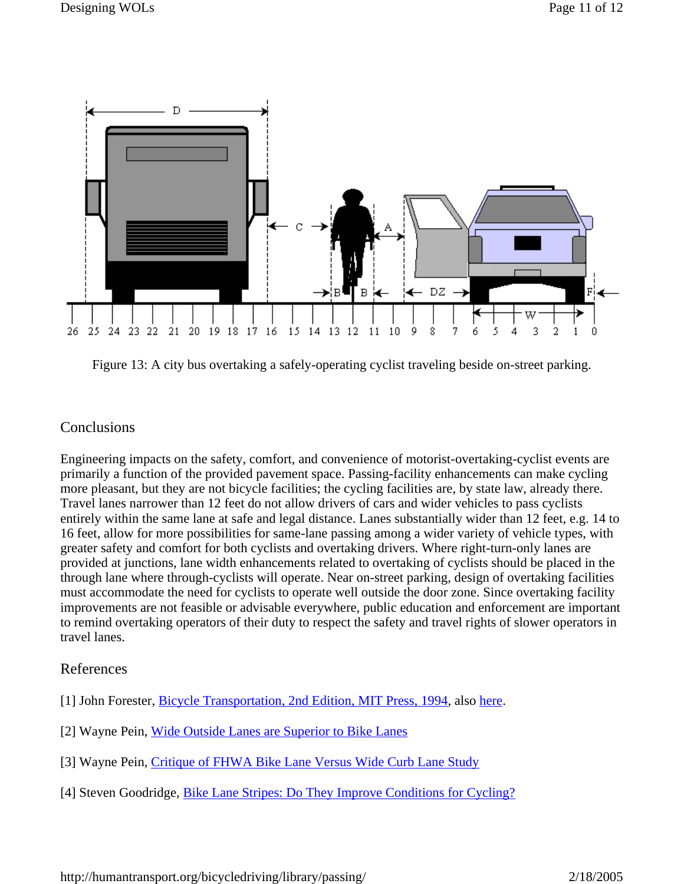

Figure 13: A city bus overtaking a safely-operating cyclist traveling beside on-street parking.

# **Conclusions**

Engineering impacts on the safety, comfort, and convenience of motorist-overtaking-cyclist events are primarily a function of the provided pavement space. Passing-facility enhancements can make cycling more pleasant, but they are not bicycle facilities; the cycling facilities are, by state law, already there. Travel lanes narrower than 12 feet do not allow drivers of cars and wider vehicles to pass cyclists entirely within the same lane at safe and legal distance. Lanes substantially wider than 12 feet, e.g. 14 to 16 feet, allow for more possibilities for same-lane passing among a wider variety of vehicle types, with greater safety and comfort for both cyclists and overtaking drivers. Where right-turn-only lanes are provided at junctions, lane width enhancements related to overtaking of cyclists should be placed in the through lane where through-cyclists will operate. Near on-street parking, design of overtaking facilities must accommodate the need for cyclists to operate well outside the door zone. Since overtaking facility improvements are not feasible or advisable everywhere, public education and enforcement are important to remind overtaking operators of their duty to respect the safety and travel rights of slower operators in travel lanes.

# References

- [1] John Forester, Bicycle Transportation, 2nd Edition, MIT Press, 1994, also here.
- [2] Wayne Pein, Wide Outside Lanes are Superior to Bike Lanes
- [3] Wayne Pein, Critique of FHWA Bike Lane Versus Wide Curb Lane Study
- [4] Steven Goodridge, Bike Lane Stripes: Do They Improve Conditions for Cycling?